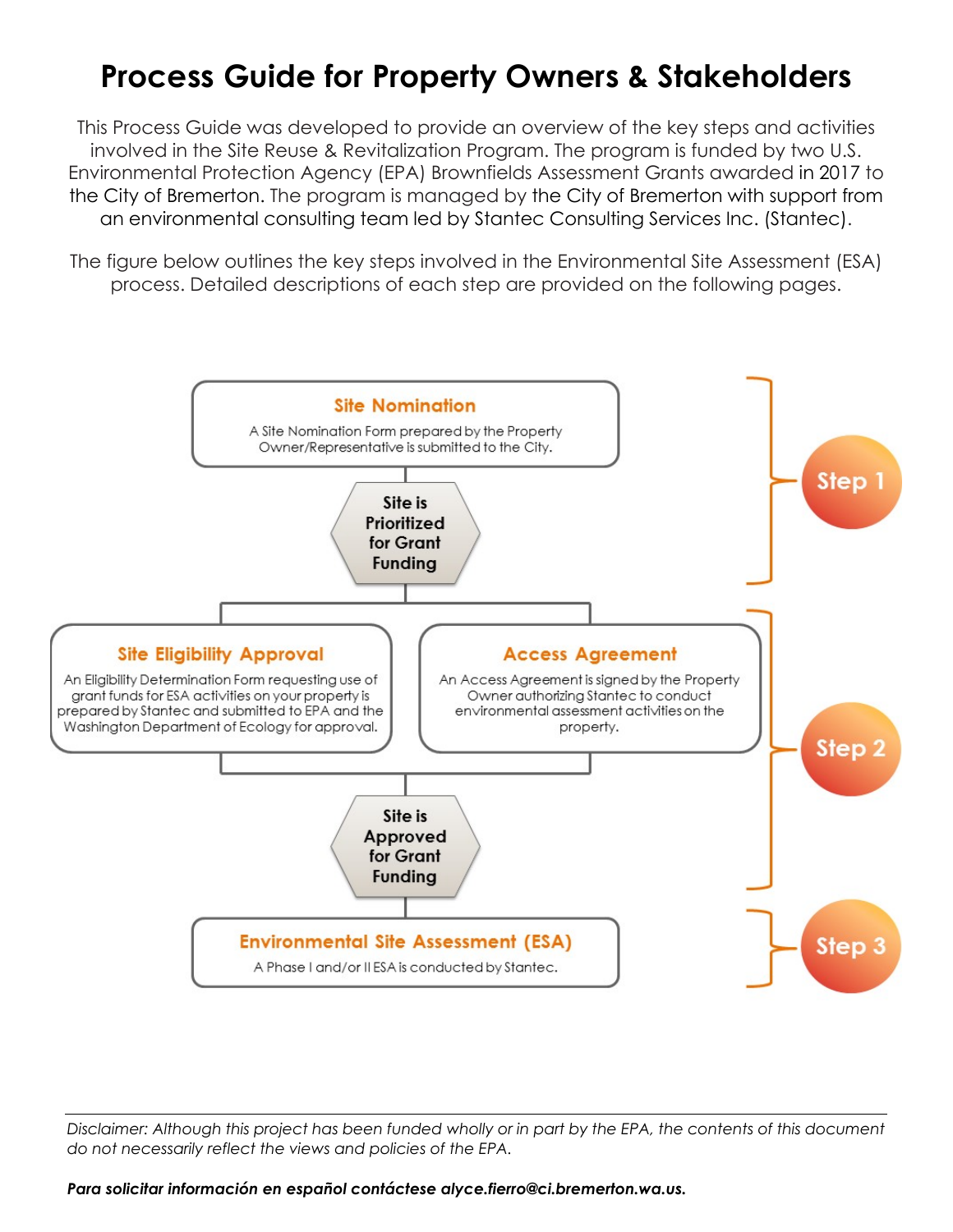# **Process Guide for Property Owners & Stakeholders**

This Process Guide was developed to provide an overview of the key steps and activities involved in the Site Reuse & Revitalization Program. The program is funded by two U.S. Environmental Protection Agency (EPA) Brownfields Assessment Grants awarded in 2017 to the City of Bremerton. The program is managed by the City of Bremerton with support from an environmental consulting team led by Stantec Consulting Services Inc. (Stantec).

The figure below outlines the key steps involved in the Environmental Site Assessment (ESA) process. Detailed descriptions of each step are provided on the following pages.



*Disclaimer: Although this project has been funded wholly or in part by the EPA, the contents of this document do not necessarily reflect the views and policies of the EPA.*

*Para solicitar información en español contáctese [alyce.fierro@ci.bremerton.wa.us.](mailto:alyce.fierro@ci.bremerton.wa.us)*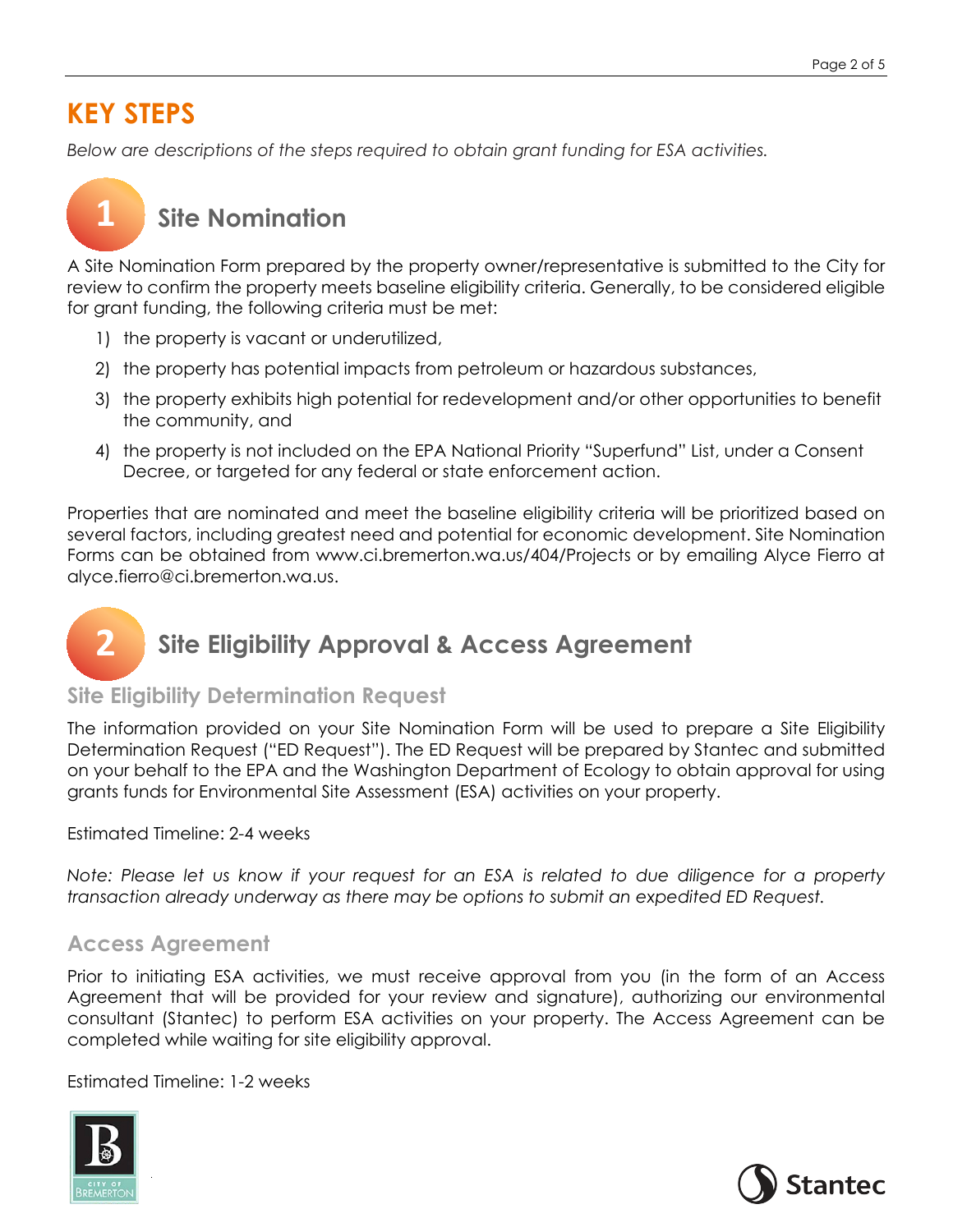### **KEY STEPS**

**1**

*Below are descriptions of the steps required to obtain grant funding for ESA activities.* 

# **Site Nomination**

A Site Nomination Form prepared by the property owner/representative is submitted to the City for review to confirm the property meets baseline eligibility criteria. Generally, to be considered eligible for grant funding, the following criteria must be met:

- 1) the property is vacant or underutilized,
- 2) the property has potential impacts from petroleum or hazardous substances,
- 3) the property exhibits high potential for redevelopment and/or other opportunities to benefit the community, and
- 4) the property is not included on the EPA National Priority "Superfund" List, under a Consent Decree, or targeted for any federal or state enforcement action.

Properties that are nominated and meet the baseline eligibility criteria will be prioritized based on several factors, including greatest need and potential for economic development. Site Nomination Forms can be obtained from www.ci.bremerton.wa.us/404/Projects or by emailing Alyce Fierro at [alyce.fierro@ci.bremerton.wa.us.](mailto:alyce.fierro@ci.bremerton.wa.us)

#### **Site Eligibility Approval & Access Agreement 2**

### **Site Eligibility Determination Request**

The information provided on your Site Nomination Form will be used to prepare a Site Eligibility Determination Request ("ED Request"). The ED Request will be prepared by Stantec and submitted on your behalf to the EPA and the Washington Department of Ecology to obtain approval for using grants funds for Environmental Site Assessment (ESA) activities on your property.

Estimated Timeline: 2-4 weeks

*Note: Please let us know if your request for an ESA is related to due diligence for a property transaction already underway as there may be options to submit an expedited ED Request.*

### **Access Agreement**

Prior to initiating ESA activities, we must receive approval from you (in the form of an Access Agreement that will be provided for your review and signature), authorizing our environmental consultant (Stantec) to perform ESA activities on your property. The Access Agreement can be completed while waiting for site eligibility approval.

Estimated Timeline: 1-2 weeks



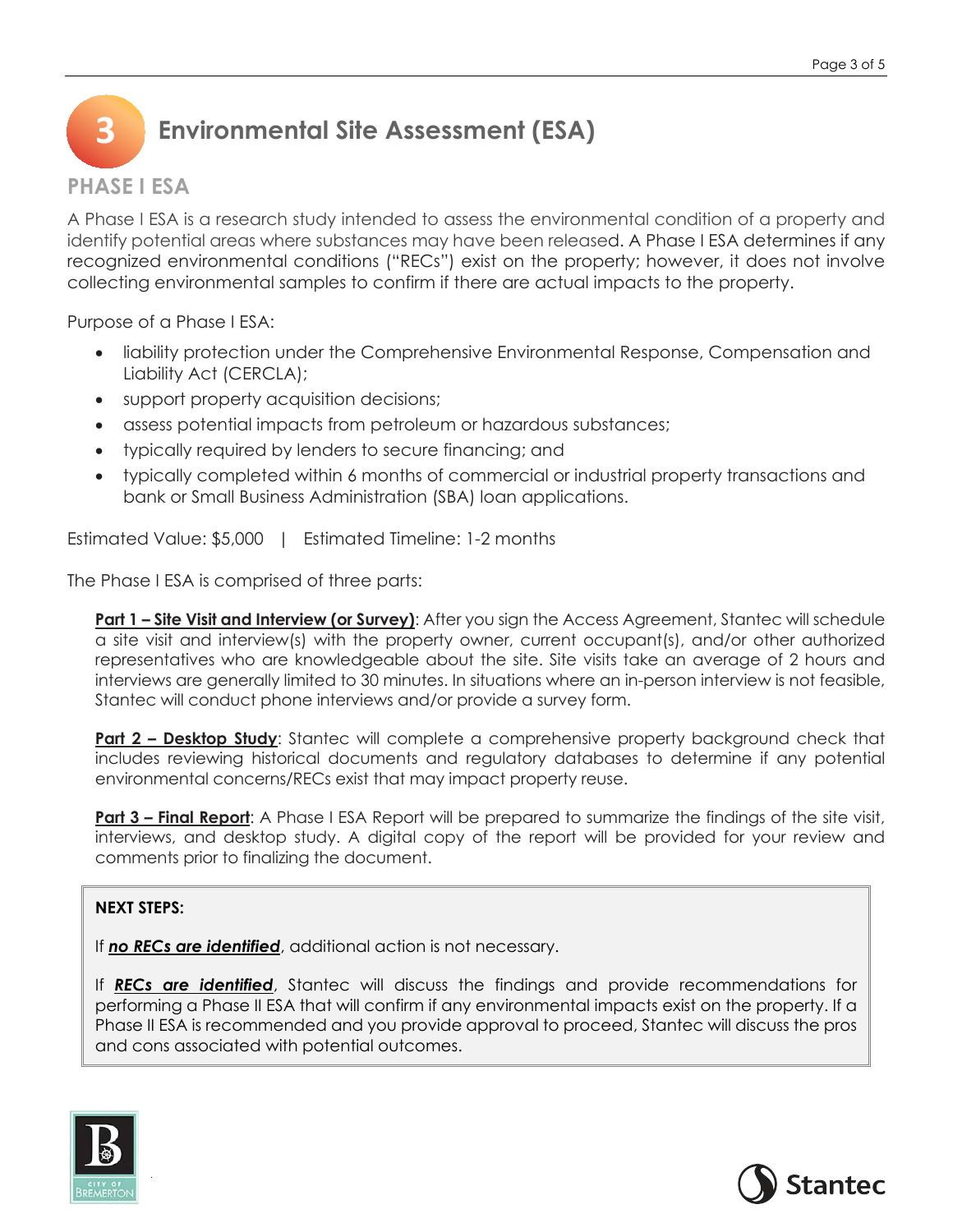

### **PHASE I ESA**

A Phase I ESA is a research study intended to assess the environmental condition of a property and identify potential areas where substances may have been released. A Phase I ESA determines if any recognized environmental conditions ("RECs") exist on the property; however, it does not involve collecting environmental samples to confirm if there are actual impacts to the property.

Purpose of a Phase I ESA:

- liability protection under the Comprehensive Environmental Response, Compensation and Liability Act (CERCLA);
- support property acquisition decisions;
- assess potential impacts from petroleum or hazardous substances;
- typically required by lenders to secure financing; and
- typically completed within 6 months of commercial or industrial property transactions and bank or Small Business Administration (SBA) loan applications.

Estimated Value: \$5,000 | Estimated Timeline: 1-2 months

The Phase I ESA is comprised of three parts:

**Part 1 – Site Visit and Interview (or Survey)**: After you sign the Access Agreement, Stantec will schedule a site visit and interview(s) with the property owner, current occupant(s), and/or other authorized representatives who are knowledgeable about the site. Site visits take an average of 2 hours and interviews are generally limited to 30 minutes. In situations where an in-person interview is not feasible, Stantec will conduct phone interviews and/or provide a survey form.

**Part 2 – Desktop Study**: Stantec will complete a comprehensive property background check that includes reviewing historical documents and regulatory databases to determine if any potential environmental concerns/RECs exist that may impact property reuse.

**Part 3 – Final Report**: A Phase I ESA Report will be prepared to summarize the findings of the site visit, interviews, and desktop study. A digital copy of the report will be provided for your review and comments prior to finalizing the document.

#### **NEXT STEPS:**

If *no RECs are identified*, additional action is not necessary.

If *RECs are identified*, Stantec will discuss the findings and provide recommendations for performing a Phase II ESA that will confirm if any environmental impacts exist on the property. If a Phase II ESA is recommended and you provide approval to proceed, Stantec will discuss the pros and cons associated with potential outcomes.



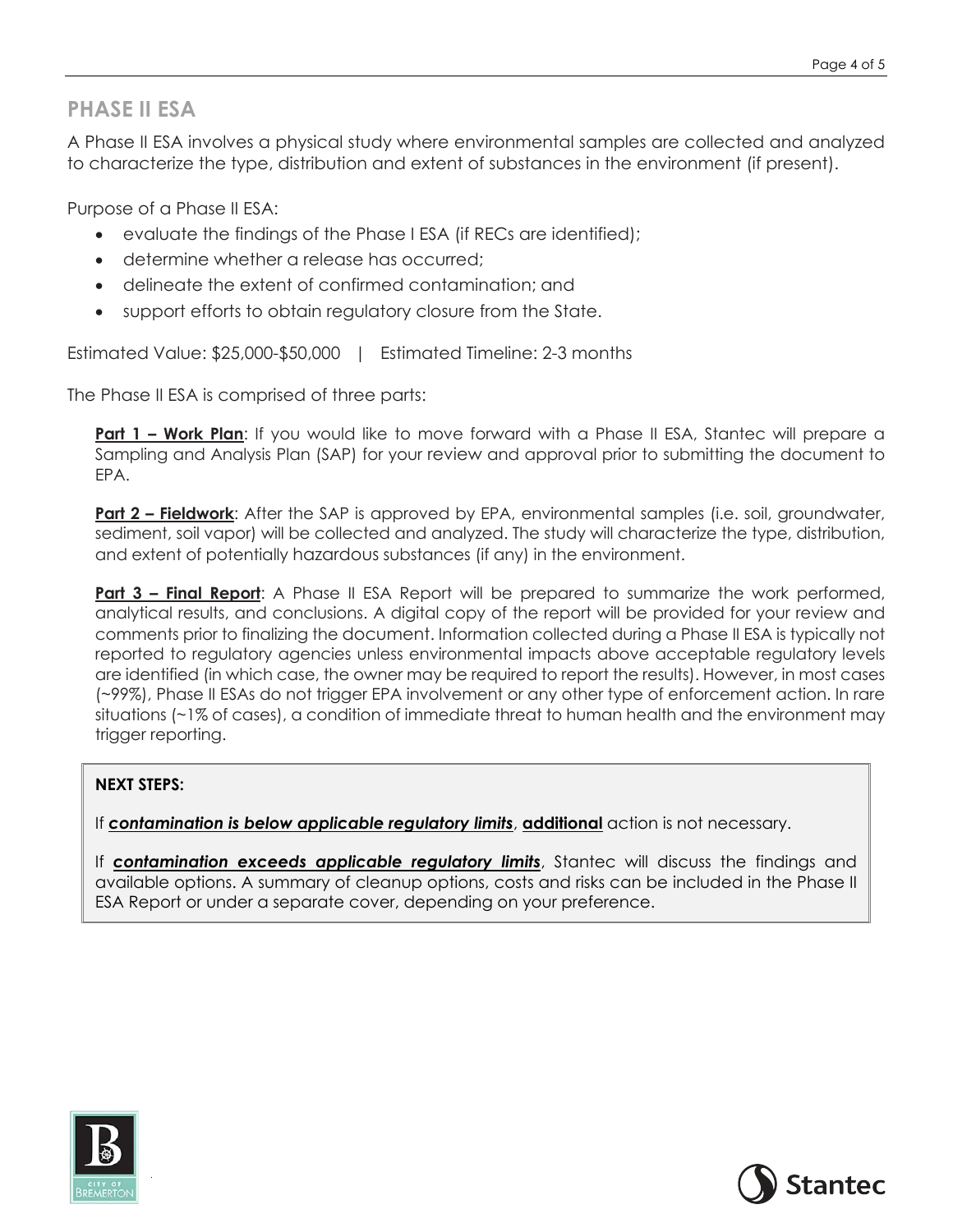### **PHASE II ESA**

A Phase II ESA involves a physical study where environmental samples are collected and analyzed to characterize the type, distribution and extent of substances in the environment (if present).

Purpose of a Phase II ESA:

- evaluate the findings of the Phase I ESA (if RECs are identified);
- determine whether a release has occurred;
- delineate the extent of confirmed contamination; and
- support efforts to obtain regulatory closure from the State.

Estimated Value: \$25,000-\$50,000 | Estimated Timeline: 2-3 months

The Phase II ESA is comprised of three parts:

**Part 1 – Work Plan**: If you would like to move forward with a Phase II ESA, Stantec will prepare a Sampling and Analysis Plan (SAP) for your review and approval prior to submitting the document to EPA.

**Part 2 – Fieldwork:** After the SAP is approved by EPA, environmental samples (i.e. soil, groundwater, sediment, soil vapor) will be collected and analyzed. The study will characterize the type, distribution, and extent of potentially hazardous substances (if any) in the environment.

**Part 3 – Final Report:** A Phase II ESA Report will be prepared to summarize the work performed, analytical results, and conclusions. A digital copy of the report will be provided for your review and comments prior to finalizing the document. Information collected during a Phase II ESA is typically not reported to regulatory agencies unless environmental impacts above acceptable regulatory levels are identified (in which case, the owner may be required to report the results). However, in most cases (~99%), Phase II ESAs do not trigger EPA involvement or any other type of enforcement action. In rare situations (~1% of cases), a condition of immediate threat to human health and the environment may trigger reporting.

### **NEXT STEPS:**

If *contamination is below applicable regulatory limits*, **additional** action is not necessary.

If *contamination exceeds applicable regulatory limits*, Stantec will discuss the findings and available options. A summary of cleanup options, costs and risks can be included in the Phase II ESA Report or under a separate cover, depending on your preference.